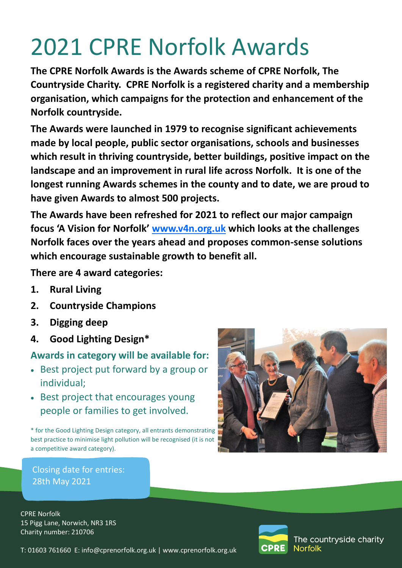# 2021 CPRE Norfolk Awards

**The CPRE Norfolk Awards is the Awards scheme of CPRE Norfolk, The Countryside Charity. CPRE Norfolk is a registered charity and a membership organisation, which campaigns for the protection and enhancement of the Norfolk countryside.** 

**The Awards were launched in 1979 to recognise significant achievements made by local people, public sector organisations, schools and businesses which result in thriving countryside, better buildings, positive impact on the landscape and an improvement in rural life across Norfolk. It is one of the longest running Awards schemes in the county and to date, we are proud to have given Awards to almost 500 projects.** 

**The Awards have been refreshed for 2021 to reflect our major campaign focus 'A Vision for Norfolk' [www.v4n.org.uk](http://www.v4n.org.uk) which looks at the challenges Norfolk faces over the years ahead and proposes common-sense solutions which encourage sustainable growth to benefit all.**

**There are 4 award categories:**

- **1. Rural Living**
- **2. Countryside Champions**
- **3. Digging deep**
- **4. Good Lighting Design\***

# **Awards in category will be available for:**

- Best project put forward by a group or individual;
- Best project that encourages young people or families to get involved.

\* for the Good Lighting Design category, all entrants demonstrating best practice to minimise light pollution will be recognised (it is not a competitive award category).



Closing date for entries: 28th May 2021

CPRE Norfolk 15 Pigg Lane, Norwich, NR3 1RS Charity number: 210706



The countryside charity **Norfolk** 

T: 01603 761660 E: info@cprenorfolk.org.uk | [www.cprenorfolk.org.uk](http://www.cpre.org.uk/norfolk)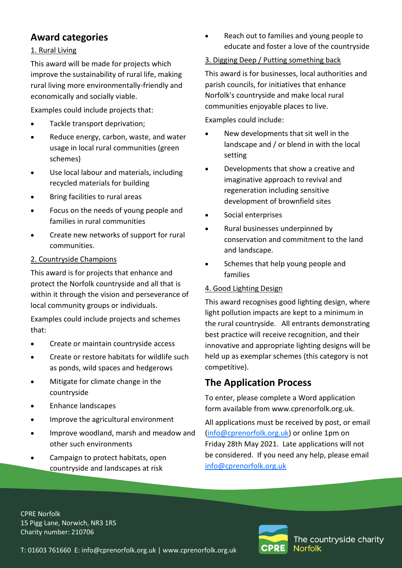# **Award categories**

#### 1. Rural Living

This award will be made for projects which improve the sustainability of rural life, making rural living more environmentally-friendly and economically and socially viable.

Examples could include projects that:

- Tackle transport deprivation;
- Reduce energy, carbon, waste, and water usage in local rural communities (green schemes)
- Use local labour and materials, including recycled materials for building
- Bring facilities to rural areas
- Focus on the needs of young people and families in rural communities
- Create new networks of support for rural communities.

#### 2. Countryside Champions

This award is for projects that enhance and protect the Norfolk countryside and all that is within it through the vision and perseverance of local community groups or individuals.

Examples could include projects and schemes that:

- Create or maintain countryside access
- Create or restore habitats for wildlife such as ponds, wild spaces and hedgerows
- Mitigate for climate change in the countryside
- Enhance landscapes
- Improve the agricultural environment
- Improve woodland, marsh and meadow and other such environments
- Campaign to protect habitats, open countryside and landscapes at risk

 Reach out to families and young people to educate and foster a love of the countryside

#### 3. Digging Deep / Putting something back

This award is for businesses, local authorities and parish councils, for initiatives that enhance Norfolk's countryside and make local rural communities enjoyable places to live.

Examples could include:

- New developments that sit well in the landscape and / or blend in with the local setting
- Developments that show a creative and imaginative approach to revival and regeneration including sensitive development of brownfield sites
- Social enterprises
- Rural businesses underpinned by conservation and commitment to the land and landscape.
- Schemes that help young people and families

#### 4. Good Lighting Design

This award recognises good lighting design, where light pollution impacts are kept to a minimum in the rural countryside. All entrants demonstrating best practice will receive recognition, and their innovative and appropriate lighting designs will be held up as exemplar schemes (this category is not competitive).

## **The Application Process**

To enter, please complete a Word application form available from [www.cprenorfolk.org.uk.](http://www.cpre.org.uk/norfolk) 

All applications must be received by post, or email [\(info@cprenorfolk.org.uk\)](mailto:info@cprenorfolk.org.uk) or online 1pm on Friday 28th May 2021. Late applications will not be considered. If you need any help, please email [info@cprenorfolk.org.uk](mailto:info@cprenorfolk.org.uk)

CPRE Norfolk 15 Pigg Lane, Norwich, NR3 1RS Charity number: 210706



T: 01603 761660 E: info@cprenorfolk.org.uk | [www.cprenorfolk.org.uk](http://www.cpre.org.uk/norfolk)